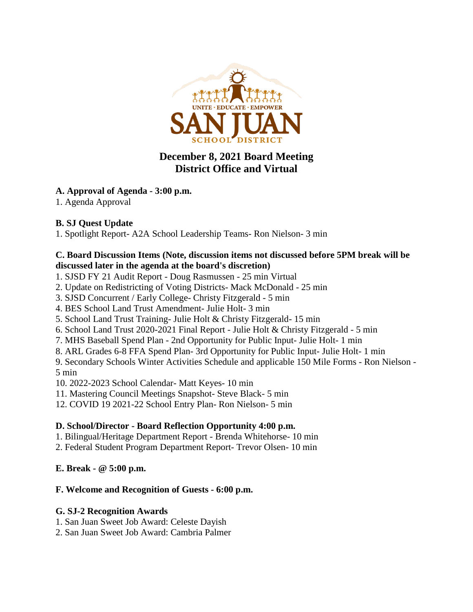

# **December 8, 2021 Board Meeting District Office and Virtual**

## **A. Approval of Agenda - 3:00 p.m.**

1. Agenda Approval

## **B. SJ Quest Update**

1. Spotlight Report- A2A School Leadership Teams- Ron Nielson- 3 min

#### **C. Board Discussion Items (Note, discussion items not discussed before 5PM break will be discussed later in the agenda at the board's discretion)**

- 1. SJSD FY 21 Audit Report Doug Rasmussen 25 min Virtual
- 2. Update on Redistricting of Voting Districts- Mack McDonald 25 min
- 3. SJSD Concurrent / Early College- Christy Fitzgerald 5 min
- 4. BES School Land Trust Amendment- Julie Holt- 3 min
- 5. School Land Trust Training- Julie Holt & Christy Fitzgerald- 15 min
- 6. School Land Trust 2020-2021 Final Report Julie Holt & Christy Fitzgerald 5 min
- 7. MHS Baseball Spend Plan 2nd Opportunity for Public Input- Julie Holt- 1 min
- 8. ARL Grades 6-8 FFA Spend Plan- 3rd Opportunity for Public Input- Julie Holt- 1 min

9. Secondary Schools Winter Activities Schedule and applicable 150 Mile Forms - Ron Nielson - 5 min

10. 2022-2023 School Calendar- Matt Keyes- 10 min

- 11. Mastering Council Meetings Snapshot- Steve Black- 5 min
- 12. COVID 19 2021-22 School Entry Plan- Ron Nielson- 5 min

## **D. School/Director - Board Reflection Opportunity 4:00 p.m.**

- 1. Bilingual/Heritage Department Report Brenda Whitehorse- 10 min
- 2. Federal Student Program Department Report- Trevor Olsen- 10 min

### **E. Break - @ 5:00 p.m.**

## **F. Welcome and Recognition of Guests - 6:00 p.m.**

### **G. SJ-2 Recognition Awards**

- 1. San Juan Sweet Job Award: Celeste Dayish
- 2. San Juan Sweet Job Award: Cambria Palmer